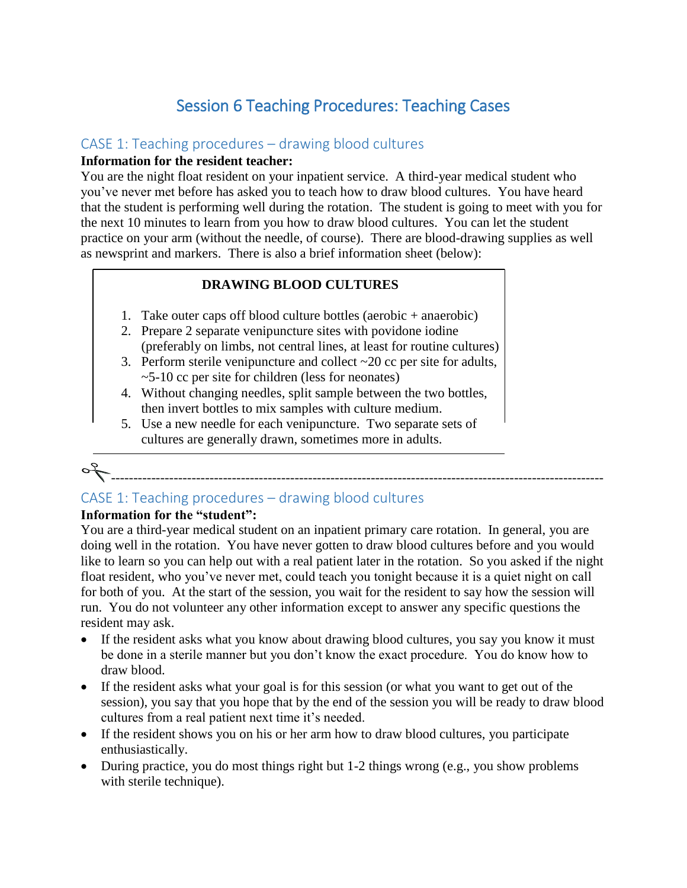# Session 6 Teaching Procedures: Teaching Cases

## CASE 1: Teaching procedures – drawing blood cultures

#### **Information for the resident teacher:**

You are the night float resident on your inpatient service. A third-year medical student who you've never met before has asked you to teach how to draw blood cultures. You have heard that the student is performing well during the rotation. The student is going to meet with you for the next 10 minutes to learn from you how to draw blood cultures. You can let the student practice on your arm (without the needle, of course). There are blood-drawing supplies as well as newsprint and markers. There is also a brief information sheet (below):

## **DRAWING BLOOD CULTURES**

- 1. Take outer caps off blood culture bottles (aerobic + anaerobic)
- 2. Prepare 2 separate venipuncture sites with povidone iodine (preferably on limbs, not central lines, at least for routine cultures)
- 3. Perform sterile venipuncture and collect ~20 cc per site for adults,  $\sim$  5-10 cc per site for children (less for neonates)
- 4. Without changing needles, split sample between the two bottles, then invert bottles to mix samples with culture medium.
- 5. Use a new needle for each venipuncture. Two separate sets of cultures are generally drawn, sometimes more in adults.

--------------------------------------------------------------------------------------------------------------

# CASE 1: Teaching procedures – drawing blood cultures

#### **Information for the "student":**

You are a third-year medical student on an inpatient primary care rotation. In general, you are doing well in the rotation. You have never gotten to draw blood cultures before and you would like to learn so you can help out with a real patient later in the rotation. So you asked if the night float resident, who you've never met, could teach you tonight because it is a quiet night on call for both of you. At the start of the session, you wait for the resident to say how the session will run. You do not volunteer any other information except to answer any specific questions the resident may ask.

- If the resident asks what you know about drawing blood cultures, you say you know it must be done in a sterile manner but you don't know the exact procedure. You do know how to draw blood.
- If the resident asks what your goal is for this session (or what you want to get out of the session), you say that you hope that by the end of the session you will be ready to draw blood cultures from a real patient next time it's needed.
- If the resident shows you on his or her arm how to draw blood cultures, you participate enthusiastically.
- During practice, you do most things right but 1-2 things wrong (e.g., you show problems with sterile technique).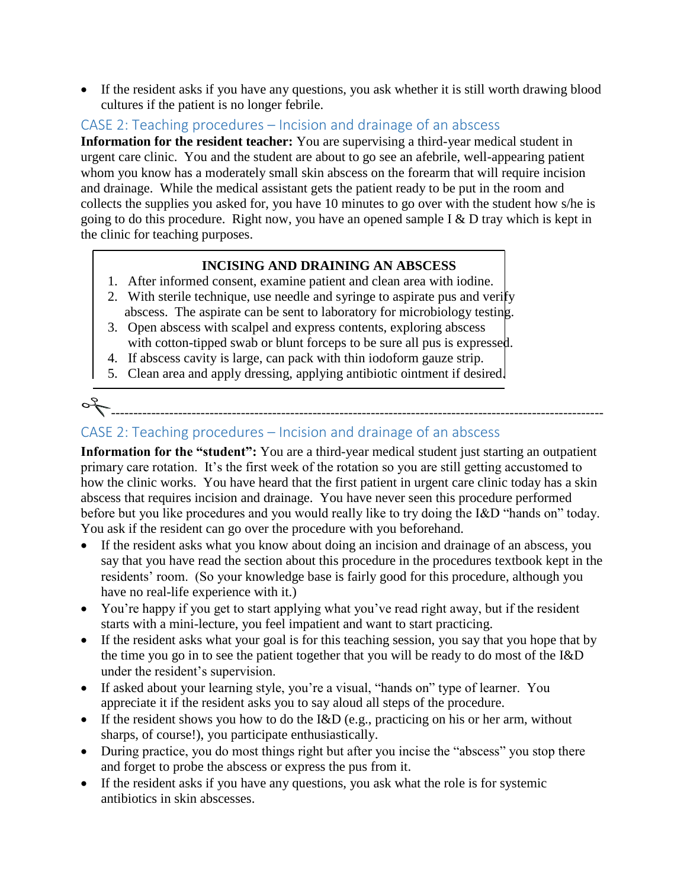• If the resident asks if you have any questions, you ask whether it is still worth drawing blood cultures if the patient is no longer febrile.

# CASE 2: Teaching procedures – Incision and drainage of an abscess

**Information for the resident teacher:** You are supervising a third-year medical student in urgent care clinic. You and the student are about to go see an afebrile, well-appearing patient whom you know has a moderately small skin abscess on the forearm that will require incision and drainage. While the medical assistant gets the patient ready to be put in the room and collects the supplies you asked for, you have 10 minutes to go over with the student how s/he is going to do this procedure. Right now, you have an opened sample I  $&D$  tray which is kept in the clinic for teaching purposes.

## **INCISING AND DRAINING AN ABSCESS**

- 1. After informed consent, examine patient and clean area with iodine.
- 2. With sterile technique, use needle and syringe to aspirate pus and verify abscess. The aspirate can be sent to laboratory for microbiology testing.
- 3. Open abscess with scalpel and express contents, exploring abscess with cotton-tipped swab or blunt forceps to be sure all pus is expressed.
- 4. If abscess cavity is large, can pack with thin iodoform gauze strip.
- 5. Clean area and apply dressing, applying antibiotic ointment if desired.

--------------------------------------------------------------------------------------------------------------

# CASE 2: Teaching procedures – Incision and drainage of an abscess

**Information for the "student":** You are a third-year medical student just starting an outpatient primary care rotation. It's the first week of the rotation so you are still getting accustomed to how the clinic works. You have heard that the first patient in urgent care clinic today has a skin abscess that requires incision and drainage. You have never seen this procedure performed before but you like procedures and you would really like to try doing the I&D "hands on" today. You ask if the resident can go over the procedure with you beforehand.

- If the resident asks what you know about doing an incision and drainage of an abscess, you say that you have read the section about this procedure in the procedures textbook kept in the residents' room. (So your knowledge base is fairly good for this procedure, although you have no real-life experience with it.)
- You're happy if you get to start applying what you've read right away, but if the resident starts with a mini-lecture, you feel impatient and want to start practicing.
- If the resident asks what your goal is for this teaching session, you say that you hope that by the time you go in to see the patient together that you will be ready to do most of the I&D under the resident's supervision.
- If asked about your learning style, you're a visual, "hands on" type of learner. You appreciate it if the resident asks you to say aloud all steps of the procedure.
- If the resident shows you how to do the I&D (e.g., practicing on his or her arm, without sharps, of course!), you participate enthusiastically.
- During practice, you do most things right but after you incise the "abscess" you stop there and forget to probe the abscess or express the pus from it.
- If the resident asks if you have any questions, you ask what the role is for systemic antibiotics in skin abscesses.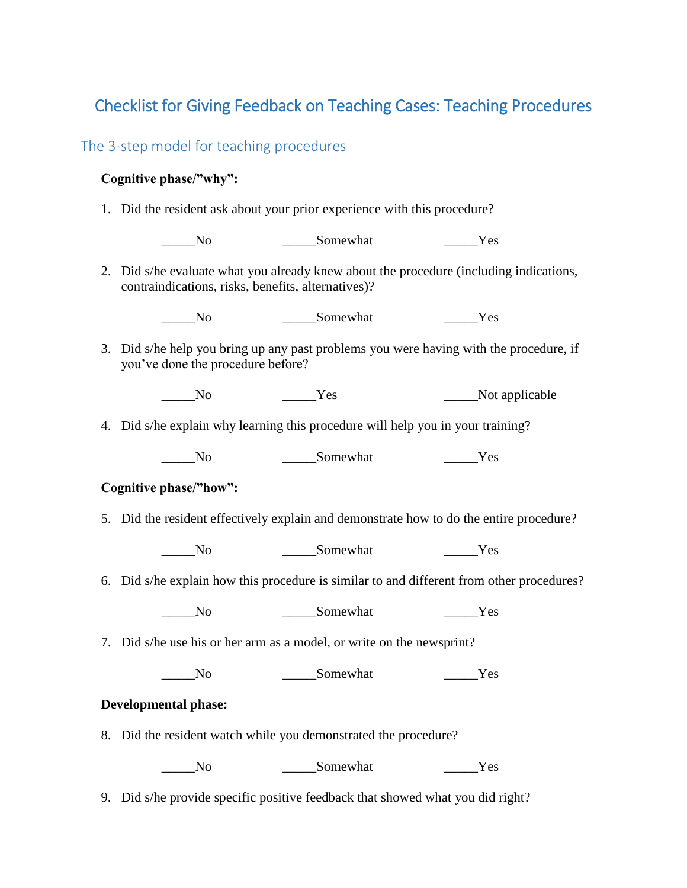# Checklist for Giving Feedback on Teaching Cases: Teaching Procedures

# The 3-step model for teaching procedures

## **Cognitive phase/"why":**

1. Did the resident ask about your prior experience with this procedure?

\_\_\_\_\_No \_\_\_\_\_Somewhat \_\_\_\_\_Yes

2. Did s/he evaluate what you already knew about the procedure (including indications, contraindications, risks, benefits, alternatives)?

\_\_\_\_\_No \_\_\_\_\_Somewhat \_\_\_\_\_Yes

3. Did s/he help you bring up any past problems you were having with the procedure, if you've done the procedure before?

No  $Y$ es Not applicable

4. Did s/he explain why learning this procedure will help you in your training?

\_\_\_\_\_No \_\_\_\_\_Somewhat \_\_\_\_\_Yes

#### **Cognitive phase/"how":**

- 5. Did the resident effectively explain and demonstrate how to do the entire procedure?
	- No Somewhat Yes
- 6. Did s/he explain how this procedure is similar to and different from other procedures?

\_\_\_\_\_No \_\_\_\_\_Somewhat \_\_\_\_\_Yes

7. Did s/he use his or her arm as a model, or write on the newsprint?

No Somewhat Yes

#### **Developmental phase:**

8. Did the resident watch while you demonstrated the procedure?

\_\_\_\_\_No \_\_\_\_\_Somewhat \_\_\_\_\_Yes

9. Did s/he provide specific positive feedback that showed what you did right?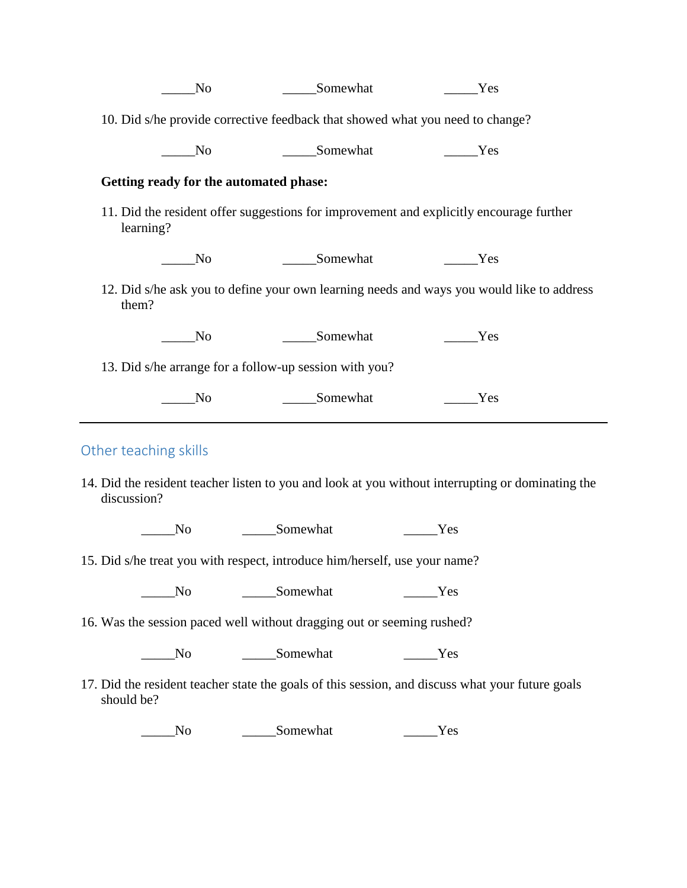|                       | N <sub>0</sub>                         | Somewhat                                                                      | Yes                                                                                               |
|-----------------------|----------------------------------------|-------------------------------------------------------------------------------|---------------------------------------------------------------------------------------------------|
|                       |                                        | 10. Did s/he provide corrective feedback that showed what you need to change? |                                                                                                   |
|                       | N <sub>0</sub>                         | Somewhat                                                                      | Yes                                                                                               |
|                       | Getting ready for the automated phase: |                                                                               |                                                                                                   |
| learning?             |                                        |                                                                               | 11. Did the resident offer suggestions for improvement and explicitly encourage further           |
|                       | N <sub>0</sub>                         | Somewhat                                                                      | Yes                                                                                               |
| them?                 |                                        |                                                                               | 12. Did s/he ask you to define your own learning needs and ways you would like to address         |
|                       | N <sub>o</sub>                         | Somewhat                                                                      | Yes                                                                                               |
|                       |                                        | 13. Did s/he arrange for a follow-up session with you?                        |                                                                                                   |
|                       |                                        |                                                                               |                                                                                                   |
| Other teaching skills | $\rm No$                               | Somewhat                                                                      | <b>Example 18</b>                                                                                 |
|                       |                                        |                                                                               | 14. Did the resident teacher listen to you and look at you without interrupting or dominating the |
| discussion?           | N <sub>o</sub>                         | Somewhat                                                                      | Yes                                                                                               |
|                       |                                        | 15. Did s/he treat you with respect, introduce him/herself, use your name?    |                                                                                                   |
|                       | N <sub>0</sub>                         | Somewhat                                                                      | Yes                                                                                               |
|                       |                                        | 16. Was the session paced well without dragging out or seeming rushed?        |                                                                                                   |
|                       | $\sqrt{N}$                             | Somewhat                                                                      | Yes                                                                                               |
| should be?            |                                        |                                                                               | 17. Did the resident teacher state the goals of this session, and discuss what your future goals  |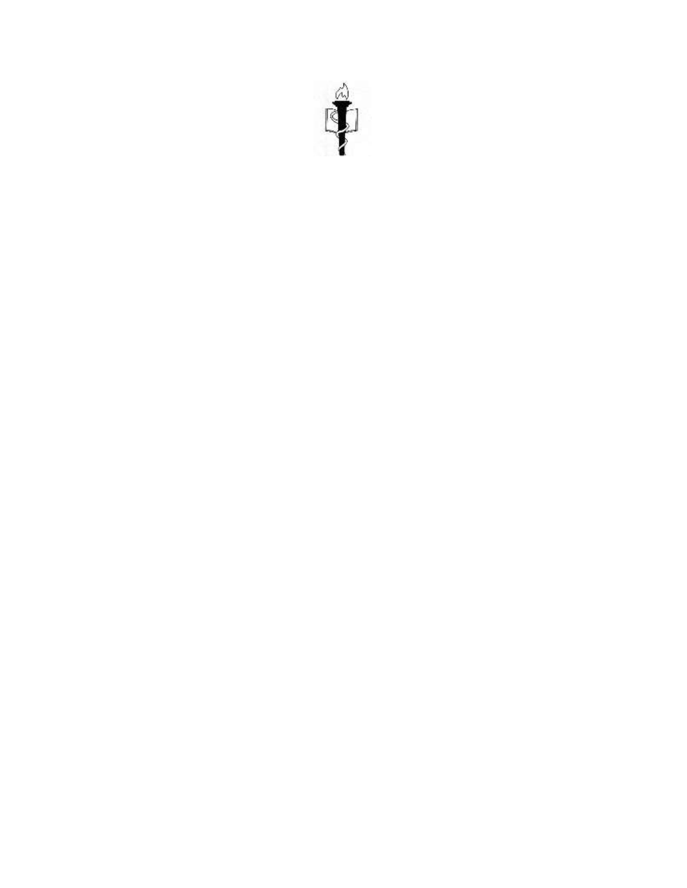